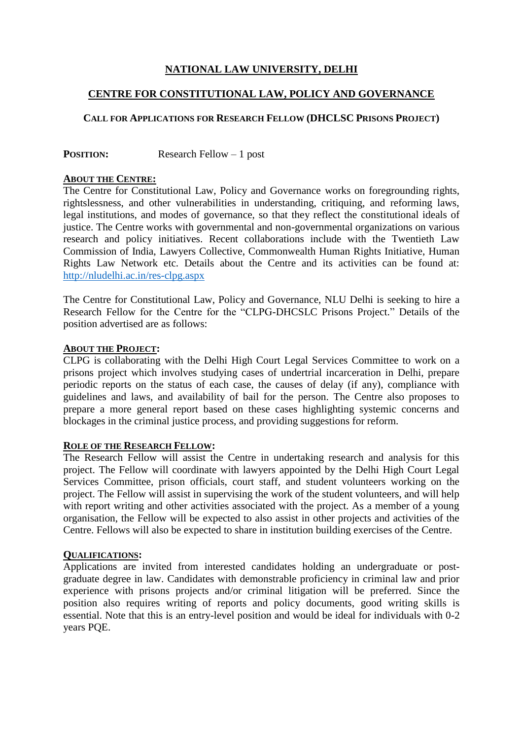# **NATIONAL LAW UNIVERSITY, DELHI**

## **CENTRE FOR CONSTITUTIONAL LAW, POLICY AND GOVERNANCE**

# **CALL FOR APPLICATIONS FOR RESEARCH FELLOW (DHCLSC PRISONS PROJECT)**

**POSITION:** Research Fellow – 1 post

#### **ABOUT THE CENTRE:**

The Centre for Constitutional Law, Policy and Governance works on foregrounding rights, rightslessness, and other vulnerabilities in understanding, critiquing, and reforming laws, legal institutions, and modes of governance, so that they reflect the constitutional ideals of justice. The Centre works with governmental and non-governmental organizations on various research and policy initiatives. Recent collaborations include with the Twentieth Law Commission of India, Lawyers Collective, Commonwealth Human Rights Initiative, Human Rights Law Network etc. Details about the Centre and its activities can be found at: <http://nludelhi.ac.in/res-clpg.aspx>

The Centre for Constitutional Law, Policy and Governance, NLU Delhi is seeking to hire a Research Fellow for the Centre for the "CLPG-DHCSLC Prisons Project." Details of the position advertised are as follows:

#### **ABOUT THE PROJECT:**

CLPG is collaborating with the Delhi High Court Legal Services Committee to work on a prisons project which involves studying cases of undertrial incarceration in Delhi, prepare periodic reports on the status of each case, the causes of delay (if any), compliance with guidelines and laws, and availability of bail for the person. The Centre also proposes to prepare a more general report based on these cases highlighting systemic concerns and blockages in the criminal justice process, and providing suggestions for reform.

#### **ROLE OF THE RESEARCH FELLOW:**

The Research Fellow will assist the Centre in undertaking research and analysis for this project. The Fellow will coordinate with lawyers appointed by the Delhi High Court Legal Services Committee, prison officials, court staff, and student volunteers working on the project. The Fellow will assist in supervising the work of the student volunteers, and will help with report writing and other activities associated with the project. As a member of a young organisation, the Fellow will be expected to also assist in other projects and activities of the Centre. Fellows will also be expected to share in institution building exercises of the Centre.

### **QUALIFICATIONS:**

Applications are invited from interested candidates holding an undergraduate or postgraduate degree in law. Candidates with demonstrable proficiency in criminal law and prior experience with prisons projects and/or criminal litigation will be preferred. Since the position also requires writing of reports and policy documents, good writing skills is essential. Note that this is an entry-level position and would be ideal for individuals with 0-2 years PQE.